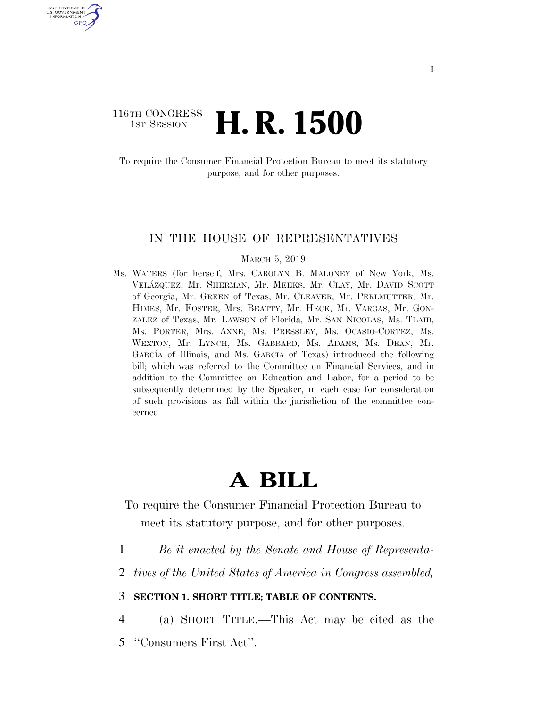### 116TH CONGRESS **1st Session H. R. 1500**

U.S. GOVERNMENT GPO

> To require the Consumer Financial Protection Bureau to meet its statutory purpose, and for other purposes.

#### IN THE HOUSE OF REPRESENTATIVES

MARCH 5, 2019

Ms. WATERS (for herself, Mrs. CAROLYN B. MALONEY of New York, Ms. VELA´ZQUEZ, Mr. SHERMAN, Mr. MEEKS, Mr. CLAY, Mr. DAVID SCOTT of Georgia, Mr. GREEN of Texas, Mr. CLEAVER, Mr. PERLMUTTER, Mr. HIMES, Mr. FOSTER, Mrs. BEATTY, Mr. HECK, Mr. VARGAS, Mr. GON-ZALEZ of Texas, Mr. LAWSON of Florida, Mr. SAN NICOLAS, Ms. TLAIB, Ms. PORTER, Mrs. AXNE, Ms. PRESSLEY, Ms. OCASIO-CORTEZ, Ms. WEXTON, Mr. LYNCH, Ms. GABBARD, Ms. ADAMS, Ms. DEAN, Mr. GARCIA of Illinois, and Ms. GARCIA of Texas) introduced the following bill; which was referred to the Committee on Financial Services, and in addition to the Committee on Education and Labor, for a period to be subsequently determined by the Speaker, in each case for consideration of such provisions as fall within the jurisdiction of the committee concerned

# **A BILL**

To require the Consumer Financial Protection Bureau to meet its statutory purpose, and for other purposes.

- 1 *Be it enacted by the Senate and House of Representa-*
- 2 *tives of the United States of America in Congress assembled,*

3 **SECTION 1. SHORT TITLE; TABLE OF CONTENTS.** 

4 (a) SHORT TITLE.—This Act may be cited as the

5 ''Consumers First Act''.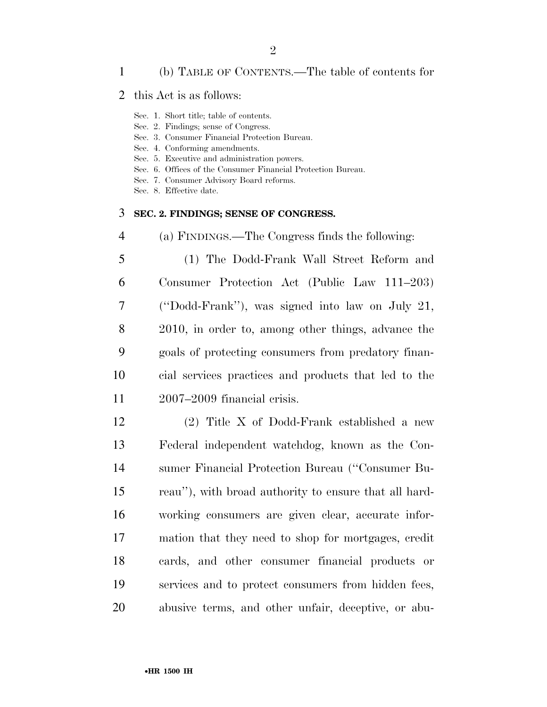#### (b) TABLE OF CONTENTS.—The table of contents for

#### this Act is as follows:

Sec. 1. Short title; table of contents.

Sec. 2. Findings; sense of Congress.

Sec. 3. Consumer Financial Protection Bureau.

Sec. 4. Conforming amendments.

Sec. 5. Executive and administration powers.

Sec. 6. Offices of the Consumer Financial Protection Bureau.

Sec. 7. Consumer Advisory Board reforms.

Sec. 8. Effective date.

#### **SEC. 2. FINDINGS; SENSE OF CONGRESS.**

(a) FINDINGS.—The Congress finds the following:

 (1) The Dodd-Frank Wall Street Reform and Consumer Protection Act (Public Law 111–203) (''Dodd-Frank''), was signed into law on July 21, 2010, in order to, among other things, advance the goals of protecting consumers from predatory finan- cial services practices and products that led to the 2007–2009 financial crisis.

 (2) Title X of Dodd-Frank established a new Federal independent watchdog, known as the Con- sumer Financial Protection Bureau (''Consumer Bu- reau''), with broad authority to ensure that all hard- working consumers are given clear, accurate infor- mation that they need to shop for mortgages, credit cards, and other consumer financial products or services and to protect consumers from hidden fees, abusive terms, and other unfair, deceptive, or abu-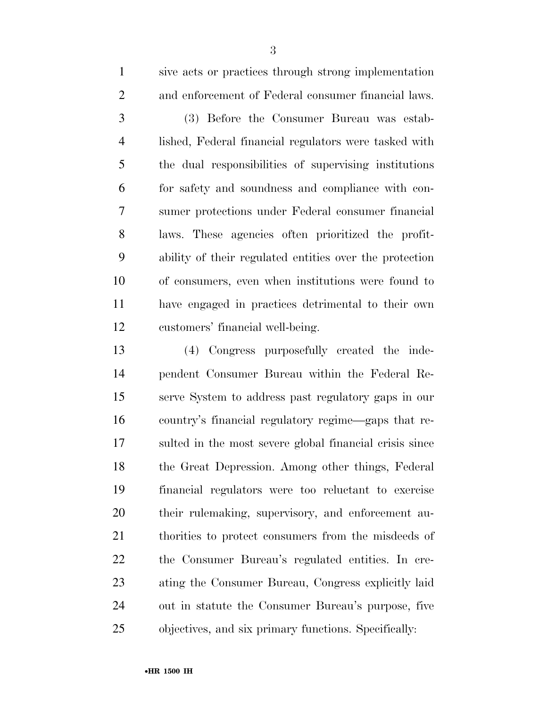| $\mathbf{1}$   | sive acts or practices through strong implementation    |
|----------------|---------------------------------------------------------|
| $\overline{2}$ | and enforcement of Federal consumer financial laws.     |
| 3              | (3) Before the Consumer Bureau was estab-               |
| $\overline{4}$ | lished, Federal financial regulators were tasked with   |
| 5              | the dual responsibilities of supervising institutions   |
| 6              | for safety and soundness and compliance with con-       |
| $\overline{7}$ | sumer protections under Federal consumer financial      |
| 8              | laws. These agencies often prioritized the profit-      |
| 9              | ability of their regulated entities over the protection |
| 10             | of consumers, even when institutions were found to      |
| 11             | have engaged in practices detrimental to their own      |
| 12             | customers' financial well-being.                        |

 (4) Congress purposefully created the inde- pendent Consumer Bureau within the Federal Re- serve System to address past regulatory gaps in our country's financial regulatory regime—gaps that re- sulted in the most severe global financial crisis since the Great Depression. Among other things, Federal financial regulators were too reluctant to exercise their rulemaking, supervisory, and enforcement au- thorities to protect consumers from the misdeeds of the Consumer Bureau's regulated entities. In cre- ating the Consumer Bureau, Congress explicitly laid out in statute the Consumer Bureau's purpose, five objectives, and six primary functions. Specifically: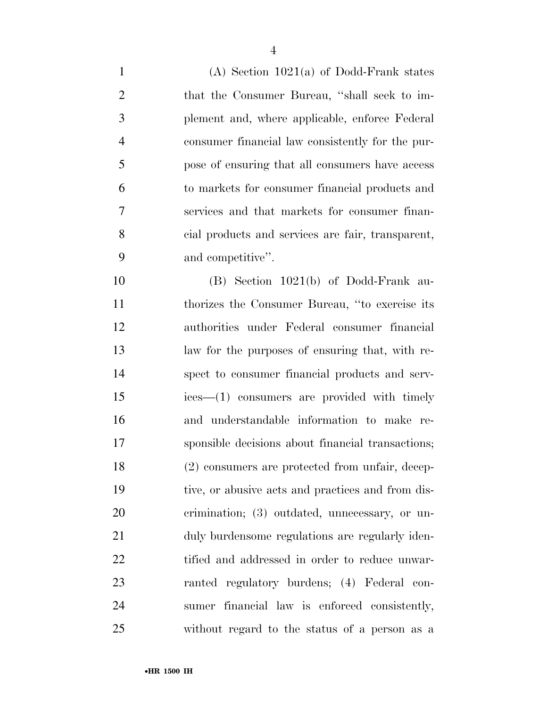(A) Section 1021(a) of Dodd-Frank states that the Consumer Bureau, ''shall seek to im- plement and, where applicable, enforce Federal consumer financial law consistently for the pur- pose of ensuring that all consumers have access to markets for consumer financial products and services and that markets for consumer finan- cial products and services are fair, transparent, and competitive''.

 (B) Section 1021(b) of Dodd-Frank au- thorizes the Consumer Bureau, ''to exercise its authorities under Federal consumer financial law for the purposes of ensuring that, with re- spect to consumer financial products and serv- ices—(1) consumers are provided with timely and understandable information to make re- sponsible decisions about financial transactions; (2) consumers are protected from unfair, decep- tive, or abusive acts and practices and from dis- crimination; (3) outdated, unnecessary, or un- duly burdensome regulations are regularly iden-22 tified and addressed in order to reduce unwar- ranted regulatory burdens; (4) Federal con- sumer financial law is enforced consistently, without regard to the status of a person as a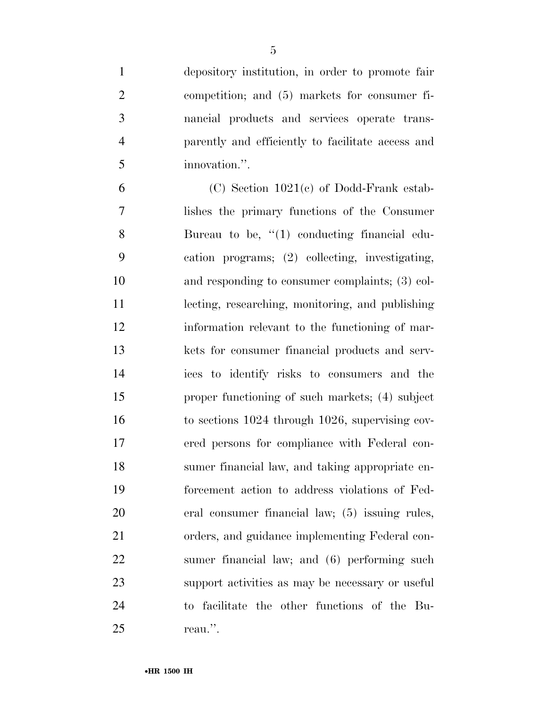depository institution, in order to promote fair competition; and (5) markets for consumer fi- nancial products and services operate trans- parently and efficiently to facilitate access and innovation.''.

6 (C) Section  $1021(c)$  of Dodd-Frank estab- lishes the primary functions of the Consumer 8 Bureau to be, "(1) conducting financial edu- cation programs; (2) collecting, investigating, and responding to consumer complaints; (3) col- lecting, researching, monitoring, and publishing information relevant to the functioning of mar- kets for consumer financial products and serv- ices to identify risks to consumers and the proper functioning of such markets; (4) subject to sections 1024 through 1026, supervising cov- ered persons for compliance with Federal con- sumer financial law, and taking appropriate en- forcement action to address violations of Fed- eral consumer financial law; (5) issuing rules, orders, and guidance implementing Federal con- sumer financial law; and (6) performing such support activities as may be necessary or useful to facilitate the other functions of the Bu-reau.''.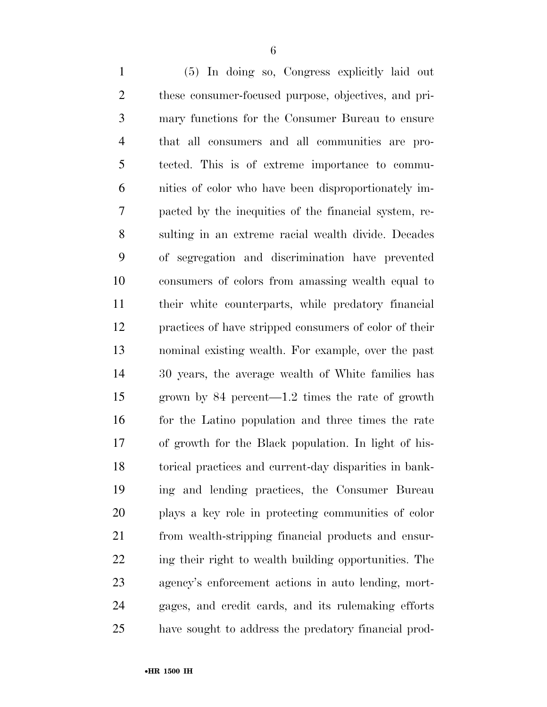(5) In doing so, Congress explicitly laid out these consumer-focused purpose, objectives, and pri- mary functions for the Consumer Bureau to ensure that all consumers and all communities are pro- tected. This is of extreme importance to commu- nities of color who have been disproportionately im- pacted by the inequities of the financial system, re- sulting in an extreme racial wealth divide. Decades of segregation and discrimination have prevented consumers of colors from amassing wealth equal to their white counterparts, while predatory financial practices of have stripped consumers of color of their nominal existing wealth. For example, over the past 30 years, the average wealth of White families has grown by 84 percent—1.2 times the rate of growth for the Latino population and three times the rate of growth for the Black population. In light of his- torical practices and current-day disparities in bank- ing and lending practices, the Consumer Bureau plays a key role in protecting communities of color from wealth-stripping financial products and ensur- ing their right to wealth building opportunities. The agency's enforcement actions in auto lending, mort- gages, and credit cards, and its rulemaking efforts have sought to address the predatory financial prod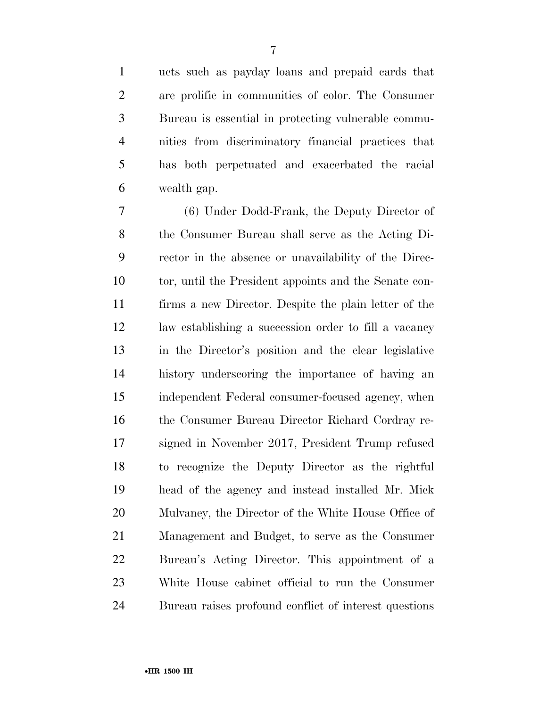ucts such as payday loans and prepaid cards that are prolific in communities of color. The Consumer Bureau is essential in protecting vulnerable commu- nities from discriminatory financial practices that has both perpetuated and exacerbated the racial wealth gap.

 (6) Under Dodd-Frank, the Deputy Director of the Consumer Bureau shall serve as the Acting Di- rector in the absence or unavailability of the Direc- tor, until the President appoints and the Senate con- firms a new Director. Despite the plain letter of the law establishing a succession order to fill a vacancy in the Director's position and the clear legislative history underscoring the importance of having an independent Federal consumer-focused agency, when the Consumer Bureau Director Richard Cordray re- signed in November 2017, President Trump refused to recognize the Deputy Director as the rightful head of the agency and instead installed Mr. Mick Mulvaney, the Director of the White House Office of Management and Budget, to serve as the Consumer Bureau's Acting Director. This appointment of a White House cabinet official to run the Consumer Bureau raises profound conflict of interest questions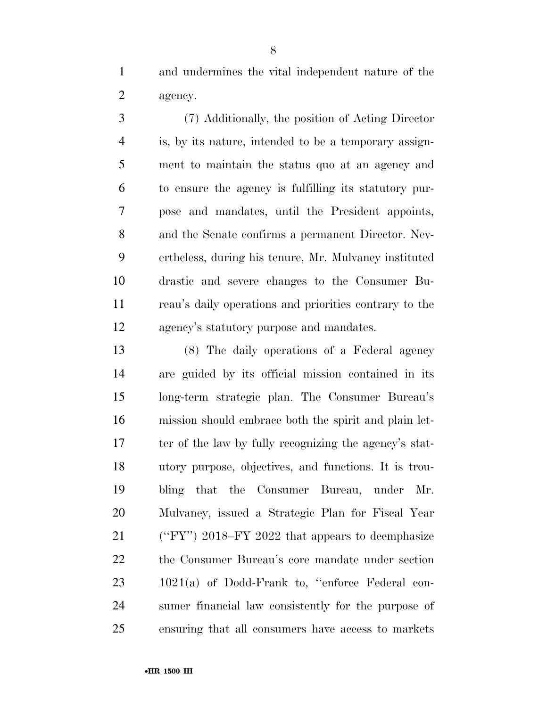and undermines the vital independent nature of the agency.

 (7) Additionally, the position of Acting Director is, by its nature, intended to be a temporary assign- ment to maintain the status quo at an agency and to ensure the agency is fulfilling its statutory pur- pose and mandates, until the President appoints, and the Senate confirms a permanent Director. Nev- ertheless, during his tenure, Mr. Mulvaney instituted drastic and severe changes to the Consumer Bu- reau's daily operations and priorities contrary to the agency's statutory purpose and mandates.

 (8) The daily operations of a Federal agency are guided by its official mission contained in its long-term strategic plan. The Consumer Bureau's mission should embrace both the spirit and plain let- ter of the law by fully recognizing the agency's stat- utory purpose, objectives, and functions. It is trou- bling that the Consumer Bureau, under Mr. Mulvaney, issued a Strategic Plan for Fiscal Year (''FY'') 2018–FY 2022 that appears to deemphasize the Consumer Bureau's core mandate under section 23 1021(a) of Dodd-Frank to, "enforce Federal con- sumer financial law consistently for the purpose of ensuring that all consumers have access to markets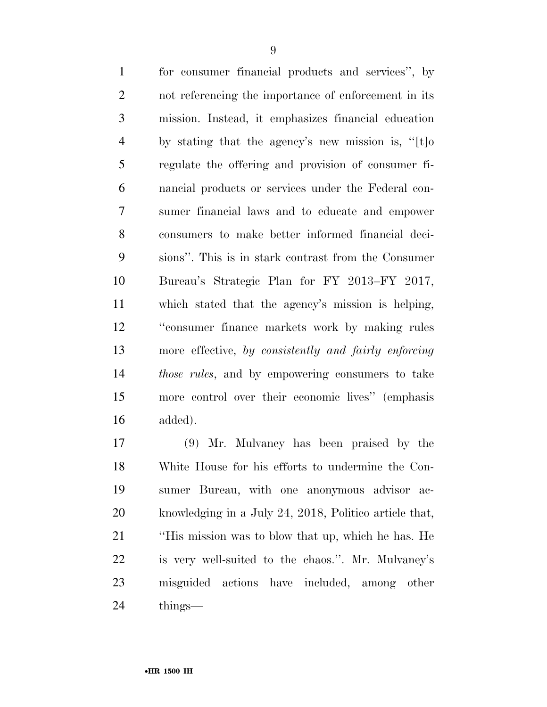for consumer financial products and services'', by not referencing the importance of enforcement in its mission. Instead, it emphasizes financial education by stating that the agency's new mission is, ''[t]o regulate the offering and provision of consumer fi- nancial products or services under the Federal con- sumer financial laws and to educate and empower consumers to make better informed financial deci- sions''. This is in stark contrast from the Consumer Bureau's Strategic Plan for FY 2013–FY 2017, which stated that the agency's mission is helping, ''consumer finance markets work by making rules more effective, *by consistently and fairly enforcing those rules*, and by empowering consumers to take more control over their economic lives'' (emphasis added).

 (9) Mr. Mulvaney has been praised by the White House for his efforts to undermine the Con- sumer Bureau, with one anonymous advisor ac- knowledging in a July 24, 2018, Politico article that, ''His mission was to blow that up, which he has. He is very well-suited to the chaos.''. Mr. Mulvaney's misguided actions have included, among other things—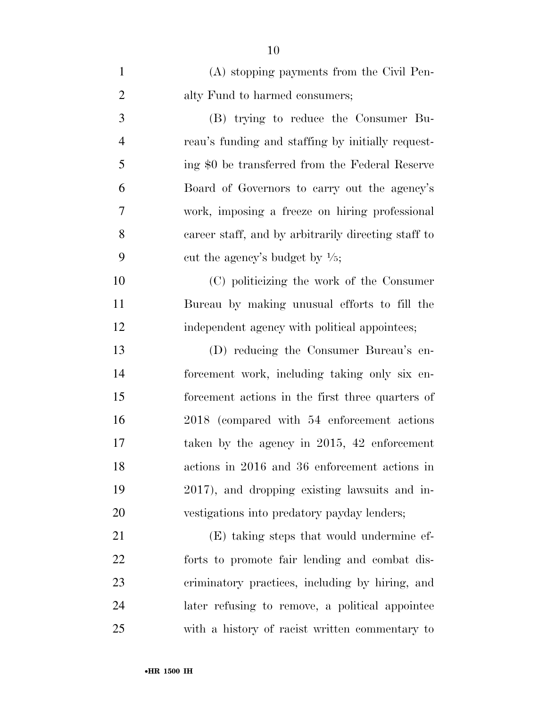| $\mathbf{1}$   | (A) stopping payments from the Civil Pen-           |
|----------------|-----------------------------------------------------|
| $\overline{2}$ | alty Fund to harmed consumers;                      |
| 3              | (B) trying to reduce the Consumer Bu-               |
| $\overline{4}$ | reau's funding and staffing by initially request-   |
| 5              | ing \$0 be transferred from the Federal Reserve     |
| 6              | Board of Governors to carry out the agency's        |
| 7              | work, imposing a freeze on hiring professional      |
| 8              | career staff, and by arbitrarily directing staff to |
| 9              | cut the agency's budget by $\frac{1}{5}$ ;          |
| 10             | (C) politicizing the work of the Consumer           |
| 11             | Bureau by making unusual efforts to fill the        |
| 12             | independent agency with political appointees;       |
| 13             | (D) reducing the Consumer Bureau's en-              |
| 14             | forcement work, including taking only six en-       |
| 15             | forcement actions in the first three quarters of    |
| 16             | 2018 (compared with 54 enforcement actions)         |
| 17             | taken by the agency in $2015$ , 42 enforcement      |
| 18             | actions in 2016 and 36 enforcement actions in       |
| 19             | 2017), and dropping existing lawsuits and in-       |
| 20             | vestigations into predatory payday lenders;         |
| 21             | (E) taking steps that would undermine ef-           |
| 22             | forts to promote fair lending and combat dis-       |
| 23             | criminatory practices, including by hiring, and     |
| 24             | later refusing to remove, a political appointee     |
| 25             | with a history of racist written commentary to      |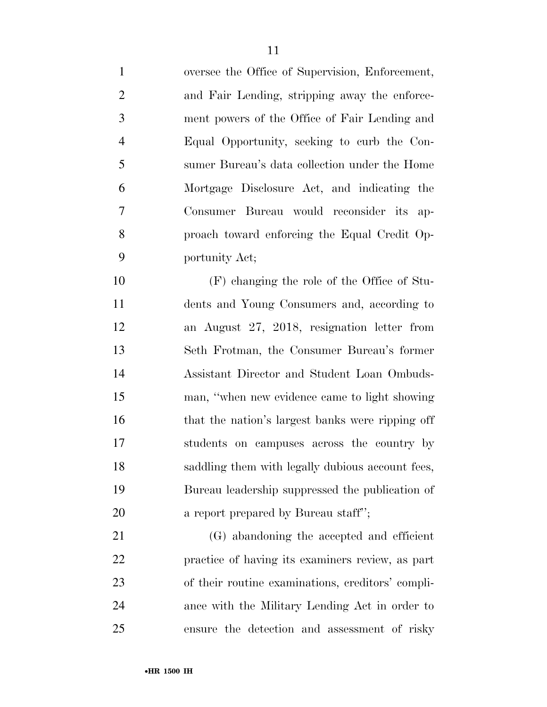oversee the Office of Supervision, Enforcement, and Fair Lending, stripping away the enforce- ment powers of the Office of Fair Lending and Equal Opportunity, seeking to curb the Con- sumer Bureau's data collection under the Home Mortgage Disclosure Act, and indicating the Consumer Bureau would reconsider its ap- proach toward enforcing the Equal Credit Op- portunity Act; (F) changing the role of the Office of Stu- dents and Young Consumers and, according to an August 27, 2018, resignation letter from Seth Frotman, the Consumer Bureau's former Assistant Director and Student Loan Ombuds- man, ''when new evidence came to light showing 16 that the nation's largest banks were ripping off students on campuses across the country by saddling them with legally dubious account fees, Bureau leadership suppressed the publication of **a** report prepared by Bureau staff"; (G) abandoning the accepted and efficient practice of having its examiners review, as part of their routine examinations, creditors' compli-ance with the Military Lending Act in order to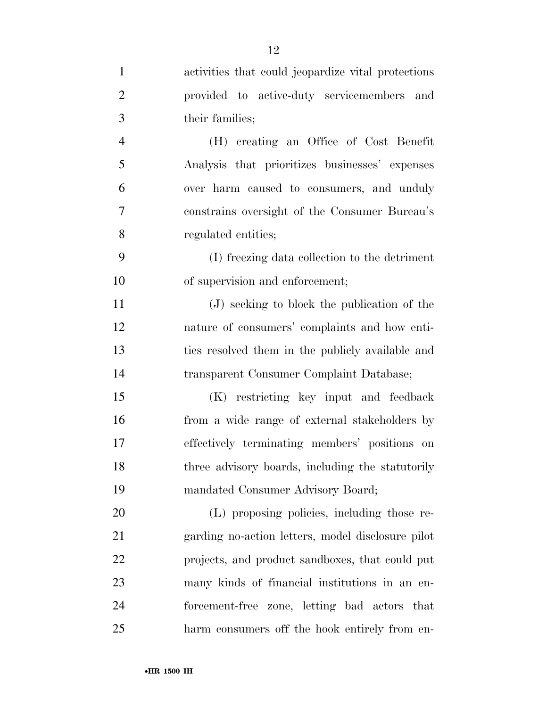| $\mathbf{1}$   | activities that could jeopardize vital protections |
|----------------|----------------------------------------------------|
| $\overline{2}$ | provided to active-duty servicemembers and         |
| 3              | their families;                                    |
| $\overline{4}$ | (H) creating an Office of Cost Benefit             |
| 5              | Analysis that prioritizes businesses' expenses     |
| 6              | over harm caused to consumers, and unduly          |
| 7              | constrains oversight of the Consumer Bureau's      |
| 8              | regulated entities;                                |
| 9              | (I) freezing data collection to the detriment      |
| 10             | of supervision and enforcement;                    |
| 11             | (J) seeking to block the publication of the        |
| 12             | nature of consumers' complaints and how enti-      |
| 13             | ties resolved them in the publicly available and   |
| 14             | transparent Consumer Complaint Database;           |
| 15             | (K) restricting key input and feedback             |
| 16             | from a wide range of external stakeholders by      |
| 17             | effectively terminating members' positions on      |
| 18             | three advisory boards, including the statutorily   |
| 19             | mandated Consumer Advisory Board;                  |
| 20             | (L) proposing policies, including those re-        |
| 21             | garding no-action letters, model disclosure pilot  |
| 22             | projects, and product sandboxes, that could put    |
| 23             | many kinds of financial institutions in an en-     |
| 24             | forcement-free zone, letting bad actors that       |
| 25             | harm consumers off the hook entirely from en-      |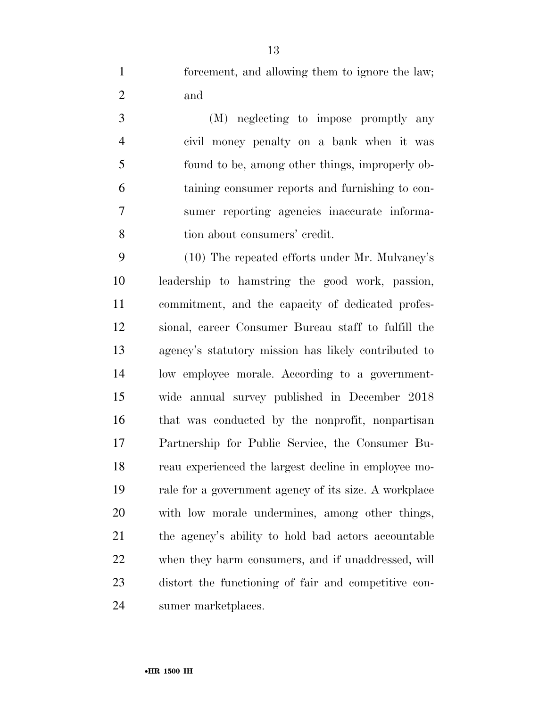forcement, and allowing them to ignore the law; and

 (M) neglecting to impose promptly any civil money penalty on a bank when it was found to be, among other things, improperly ob- taining consumer reports and furnishing to con- sumer reporting agencies inaccurate informa-tion about consumers' credit.

 (10) The repeated efforts under Mr. Mulvaney's leadership to hamstring the good work, passion, commitment, and the capacity of dedicated profes- sional, career Consumer Bureau staff to fulfill the agency's statutory mission has likely contributed to low employee morale. According to a government- wide annual survey published in December 2018 that was conducted by the nonprofit, nonpartisan Partnership for Public Service, the Consumer Bu- reau experienced the largest decline in employee mo- rale for a government agency of its size. A workplace with low morale undermines, among other things, the agency's ability to hold bad actors accountable when they harm consumers, and if unaddressed, will distort the functioning of fair and competitive con-sumer marketplaces.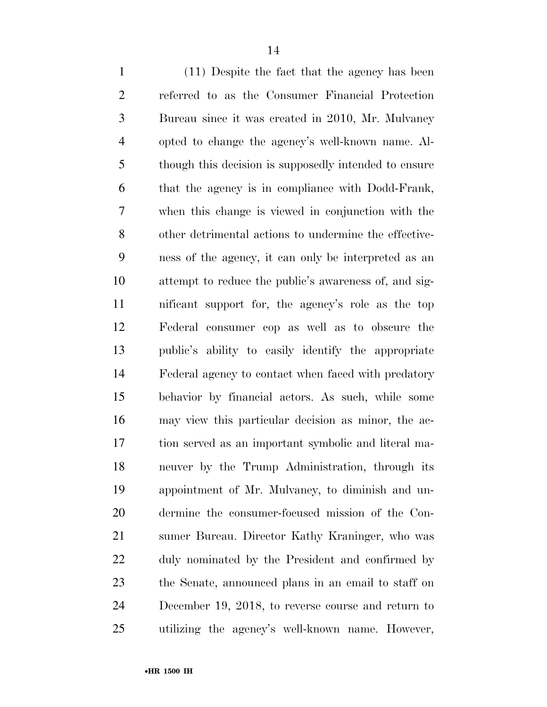(11) Despite the fact that the agency has been referred to as the Consumer Financial Protection Bureau since it was created in 2010, Mr. Mulvaney opted to change the agency's well-known name. Al- though this decision is supposedly intended to ensure that the agency is in compliance with Dodd-Frank, when this change is viewed in conjunction with the other detrimental actions to undermine the effective- ness of the agency, it can only be interpreted as an attempt to reduce the public's awareness of, and sig- nificant support for, the agency's role as the top Federal consumer cop as well as to obscure the public's ability to easily identify the appropriate Federal agency to contact when faced with predatory behavior by financial actors. As such, while some may view this particular decision as minor, the ac- tion served as an important symbolic and literal ma- neuver by the Trump Administration, through its appointment of Mr. Mulvaney, to diminish and un- dermine the consumer-focused mission of the Con- sumer Bureau. Director Kathy Kraninger, who was duly nominated by the President and confirmed by the Senate, announced plans in an email to staff on December 19, 2018, to reverse course and return to utilizing the agency's well-known name. However,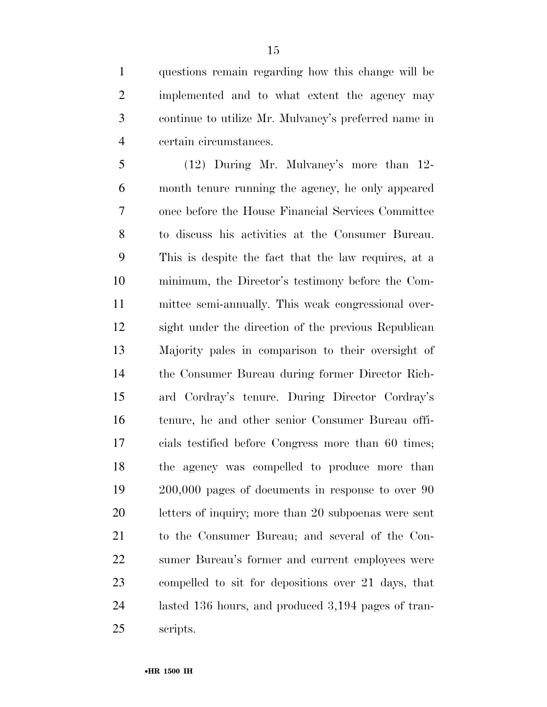questions remain regarding how this change will be implemented and to what extent the agency may continue to utilize Mr. Mulvaney's preferred name in certain circumstances.

 (12) During Mr. Mulvaney's more than 12- month tenure running the agency, he only appeared once before the House Financial Services Committee to discuss his activities at the Consumer Bureau. This is despite the fact that the law requires, at a minimum, the Director's testimony before the Com- mittee semi-annually. This weak congressional over- sight under the direction of the previous Republican Majority pales in comparison to their oversight of the Consumer Bureau during former Director Rich- ard Cordray's tenure. During Director Cordray's tenure, he and other senior Consumer Bureau offi- cials testified before Congress more than 60 times; the agency was compelled to produce more than 200,000 pages of documents in response to over 90 letters of inquiry; more than 20 subpoenas were sent to the Consumer Bureau; and several of the Con- sumer Bureau's former and current employees were compelled to sit for depositions over 21 days, that lasted 136 hours, and produced 3,194 pages of tran-scripts.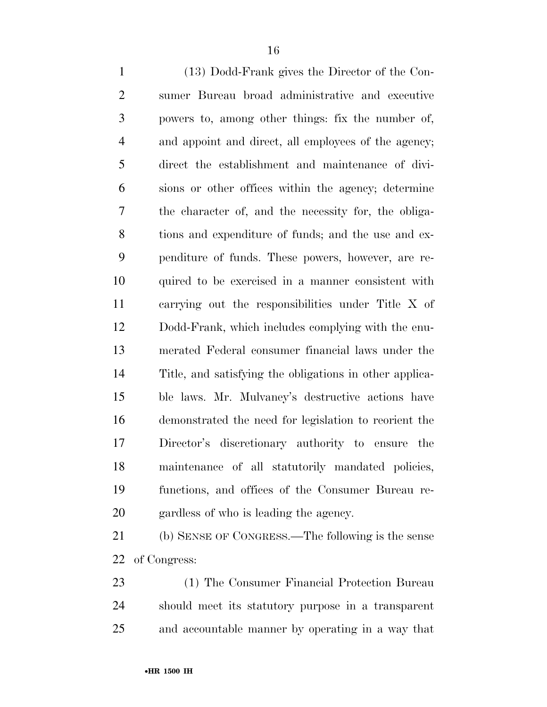(13) Dodd-Frank gives the Director of the Con- sumer Bureau broad administrative and executive powers to, among other things: fix the number of, and appoint and direct, all employees of the agency; direct the establishment and maintenance of divi- sions or other offices within the agency; determine the character of, and the necessity for, the obliga- tions and expenditure of funds; and the use and ex- penditure of funds. These powers, however, are re- quired to be exercised in a manner consistent with carrying out the responsibilities under Title X of Dodd-Frank, which includes complying with the enu- merated Federal consumer financial laws under the Title, and satisfying the obligations in other applica- ble laws. Mr. Mulvaney's destructive actions have demonstrated the need for legislation to reorient the Director's discretionary authority to ensure the maintenance of all statutorily mandated policies, functions, and offices of the Consumer Bureau re-gardless of who is leading the agency.

 (b) SENSE OF CONGRESS.—The following is the sense of Congress:

 (1) The Consumer Financial Protection Bureau should meet its statutory purpose in a transparent and accountable manner by operating in a way that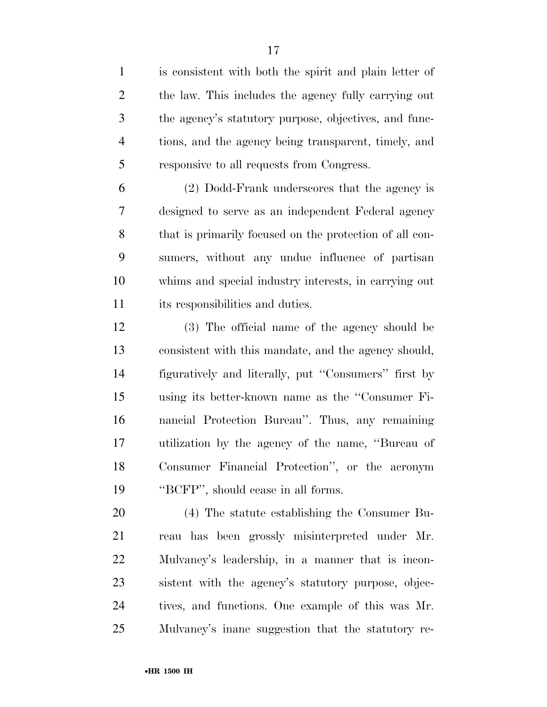is consistent with both the spirit and plain letter of the law. This includes the agency fully carrying out the agency's statutory purpose, objectives, and func- tions, and the agency being transparent, timely, and responsive to all requests from Congress.

 (2) Dodd-Frank underscores that the agency is designed to serve as an independent Federal agency that is primarily focused on the protection of all con- sumers, without any undue influence of partisan whims and special industry interests, in carrying out its responsibilities and duties.

 (3) The official name of the agency should be consistent with this mandate, and the agency should, figuratively and literally, put ''Consumers'' first by using its better-known name as the ''Consumer Fi- nancial Protection Bureau''. Thus, any remaining utilization by the agency of the name, ''Bureau of Consumer Financial Protection'', or the acronym ''BCFP'', should cease in all forms.

 (4) The statute establishing the Consumer Bu- reau has been grossly misinterpreted under Mr. Mulvaney's leadership, in a manner that is incon- sistent with the agency's statutory purpose, objec- tives, and functions. One example of this was Mr. Mulvaney's inane suggestion that the statutory re-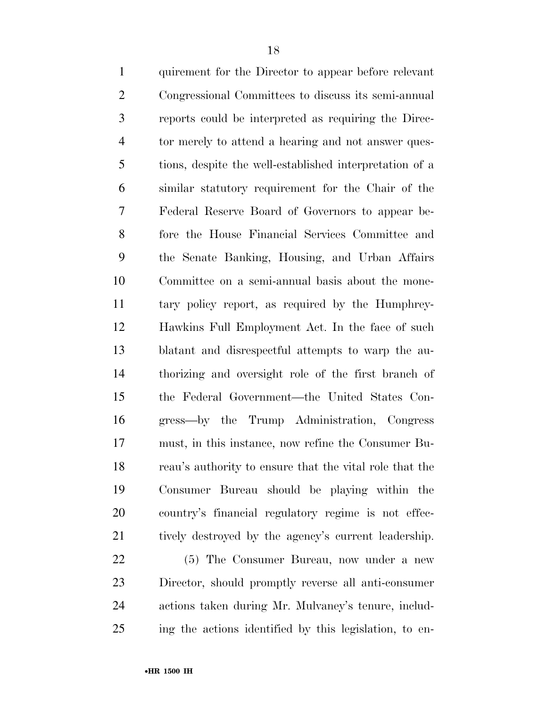quirement for the Director to appear before relevant Congressional Committees to discuss its semi-annual reports could be interpreted as requiring the Direc- tor merely to attend a hearing and not answer ques- tions, despite the well-established interpretation of a similar statutory requirement for the Chair of the Federal Reserve Board of Governors to appear be- fore the House Financial Services Committee and the Senate Banking, Housing, and Urban Affairs Committee on a semi-annual basis about the mone- tary policy report, as required by the Humphrey- Hawkins Full Employment Act. In the face of such blatant and disrespectful attempts to warp the au- thorizing and oversight role of the first branch of the Federal Government—the United States Con- gress—by the Trump Administration, Congress must, in this instance, now refine the Consumer Bu- reau's authority to ensure that the vital role that the Consumer Bureau should be playing within the country's financial regulatory regime is not effec-21 tively destroyed by the agency's current leadership. (5) The Consumer Bureau, now under a new

 Director, should promptly reverse all anti-consumer actions taken during Mr. Mulvaney's tenure, includ-ing the actions identified by this legislation, to en-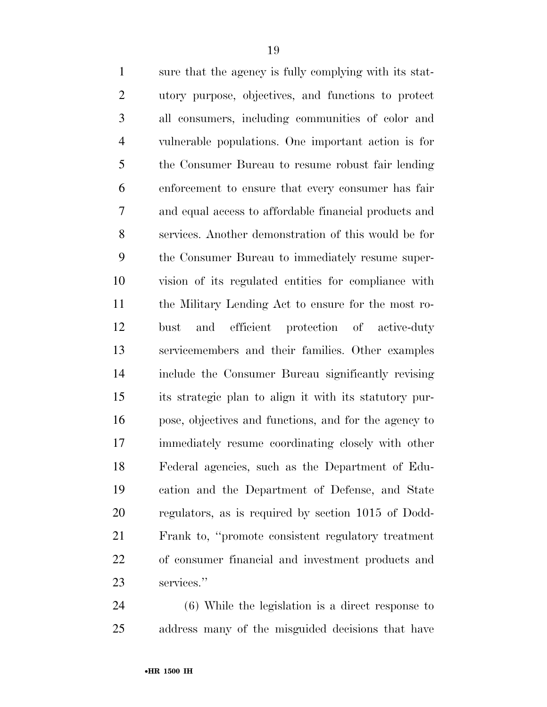sure that the agency is fully complying with its stat- utory purpose, objectives, and functions to protect all consumers, including communities of color and vulnerable populations. One important action is for the Consumer Bureau to resume robust fair lending enforcement to ensure that every consumer has fair and equal access to affordable financial products and services. Another demonstration of this would be for the Consumer Bureau to immediately resume super- vision of its regulated entities for compliance with the Military Lending Act to ensure for the most ro- bust and efficient protection of active-duty servicemembers and their families. Other examples include the Consumer Bureau significantly revising its strategic plan to align it with its statutory pur- pose, objectives and functions, and for the agency to immediately resume coordinating closely with other Federal agencies, such as the Department of Edu- cation and the Department of Defense, and State regulators, as is required by section 1015 of Dodd- Frank to, ''promote consistent regulatory treatment of consumer financial and investment products and services.''

 (6) While the legislation is a direct response to address many of the misguided decisions that have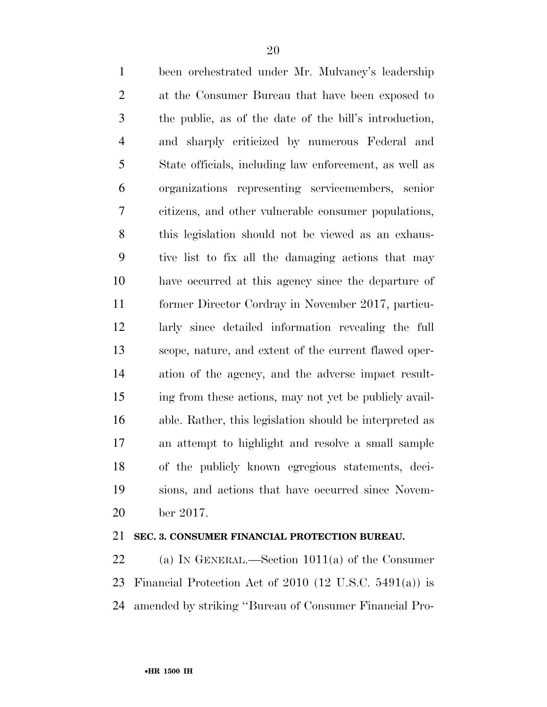been orchestrated under Mr. Mulvaney's leadership at the Consumer Bureau that have been exposed to the public, as of the date of the bill's introduction, and sharply criticized by numerous Federal and State officials, including law enforcement, as well as organizations representing servicemembers, senior citizens, and other vulnerable consumer populations, this legislation should not be viewed as an exhaus- tive list to fix all the damaging actions that may have occurred at this agency since the departure of former Director Cordray in November 2017, particu- larly since detailed information revealing the full scope, nature, and extent of the current flawed oper- ation of the agency, and the adverse impact result- ing from these actions, may not yet be publicly avail- able. Rather, this legislation should be interpreted as an attempt to highlight and resolve a small sample of the publicly known egregious statements, deci- sions, and actions that have occurred since Novem-ber 2017.

#### **SEC. 3. CONSUMER FINANCIAL PROTECTION BUREAU.**

 (a) IN GENERAL.—Section 1011(a) of the Consumer Financial Protection Act of 2010 (12 U.S.C. 5491(a)) is amended by striking ''Bureau of Consumer Financial Pro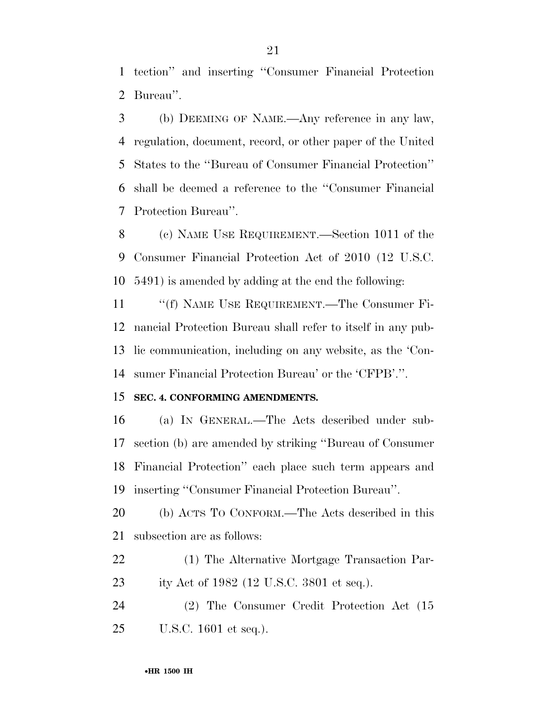tection'' and inserting ''Consumer Financial Protection Bureau''.

 (b) DEEMING OF NAME.—Any reference in any law, regulation, document, record, or other paper of the United States to the ''Bureau of Consumer Financial Protection'' shall be deemed a reference to the ''Consumer Financial Protection Bureau''.

 (c) NAME USE REQUIREMENT.—Section 1011 of the Consumer Financial Protection Act of 2010 (12 U.S.C. 5491) is amended by adding at the end the following:

11 ""(f) NAME USE REQUIREMENT.—The Consumer Fi- nancial Protection Bureau shall refer to itself in any pub- lic communication, including on any website, as the 'Con-sumer Financial Protection Bureau' or the 'CFPB'.''.

#### **SEC. 4. CONFORMING AMENDMENTS.**

 (a) IN GENERAL.—The Acts described under sub- section (b) are amended by striking ''Bureau of Consumer Financial Protection'' each place such term appears and inserting ''Consumer Financial Protection Bureau''.

 (b) ACTS TO CONFORM.—The Acts described in this subsection are as follows:

 (1) The Alternative Mortgage Transaction Par-ity Act of 1982 (12 U.S.C. 3801 et seq.).

 (2) The Consumer Credit Protection Act (15 U.S.C. 1601 et seq.).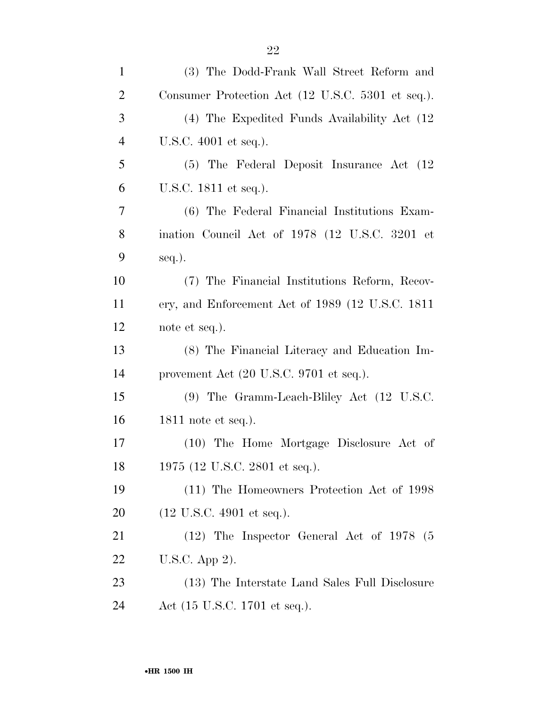| $\mathbf{1}$   | (3) The Dodd-Frank Wall Street Reform and              |
|----------------|--------------------------------------------------------|
| $\overline{2}$ | Consumer Protection Act (12 U.S.C. 5301 et seq.).      |
| 3              | (4) The Expedited Funds Availability Act (12)          |
| $\overline{4}$ | U.S.C. 4001 et seq.).                                  |
| 5              | (5) The Federal Deposit Insurance Act (12)             |
| 6              | U.S.C. 1811 et seq.).                                  |
| $\overline{7}$ | (6) The Federal Financial Institutions Exam-           |
| 8              | ination Council Act of 1978 (12 U.S.C. 3201 et         |
| 9              | seq.).                                                 |
| 10             | (7) The Financial Institutions Reform, Recov-          |
| 11             | ery, and Enforcement Act of 1989 (12 U.S.C. 1811       |
| 12             | note et seq.).                                         |
| 13             | (8) The Financial Literacy and Education Im-           |
| 14             | provement Act (20 U.S.C. 9701 et seq.).                |
| 15             | $(9)$ The Gramm-Leach-Bliley Act $(12 \text{ U.S.C.})$ |
| 16             | 1811 note et seq.).                                    |
| 17             | (10) The Home Mortgage Disclosure Act of               |
| 18             | 1975 (12 U.S.C. 2801 et seq.).                         |
| 19             | (11) The Homeowners Protection Act of 1998             |
| 20             | $(12 \text{ U.S.C. } 4901 \text{ et seq.}).$           |
| 21             | $(12)$ The Inspector General Act of 1978 (5)           |
| 22             | U.S.C. App 2).                                         |
| 23             | (13) The Interstate Land Sales Full Disclosure         |
| 24             | Act (15 U.S.C. 1701 et seq.).                          |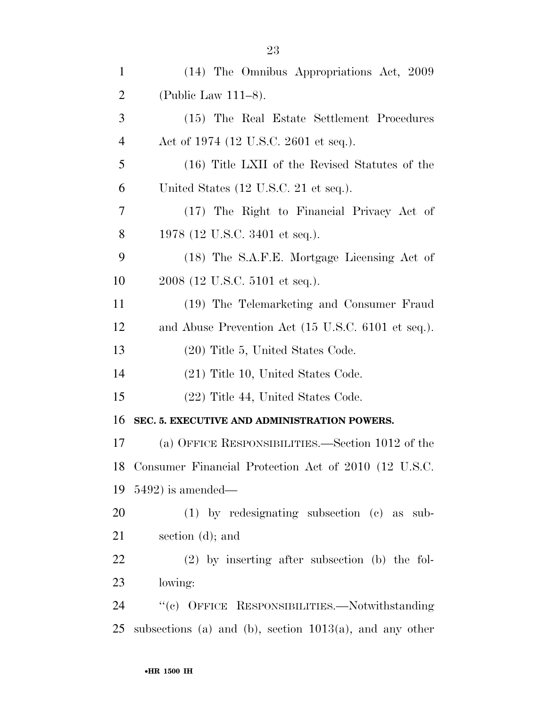| $\mathbf{1}$   | (14) The Omnibus Appropriations Act, 2009                  |
|----------------|------------------------------------------------------------|
| $\overline{2}$ | (Public Law $111-8$ ).                                     |
| 3              | (15) The Real Estate Settlement Procedures                 |
| 4              | Act of 1974 (12 U.S.C. 2601 et seq.).                      |
| 5              | (16) Title LXII of the Revised Statutes of the             |
| 6              | United States (12 U.S.C. 21 et seq.).                      |
| 7              | (17) The Right to Financial Privacy Act of                 |
| 8              | 1978 (12 U.S.C. 3401 et seq.).                             |
| 9              | (18) The S.A.F.E. Mortgage Licensing Act of                |
| 10             | 2008 (12 U.S.C. 5101 et seq.).                             |
| 11             | (19) The Telemarketing and Consumer Fraud                  |
| 12             | and Abuse Prevention Act (15 U.S.C. 6101 et seq.).         |
| 13             | (20) Title 5, United States Code.                          |
| 14             | $(21)$ Title 10, United States Code.                       |
| 15             | (22) Title 44, United States Code.                         |
| 16             | SEC. 5. EXECUTIVE AND ADMINISTRATION POWERS.               |
| 17             | (a) OFFICE RESPONSIBILITIES.—Section 1012 of the           |
| 18             | Consumer Financial Protection Act of 2010 (12 U.S.C.       |
| 19             | $5492$ ) is amended—                                       |
| 20             | $(1)$ by redesignating subsection $(e)$ as sub-            |
| 21             | section $(d)$ ; and                                        |
| <u>22</u>      | $(2)$ by inserting after subsection (b) the fol-           |
| 23             | lowing:                                                    |
| 24             | "(c) OFFICE RESPONSIBILITIES.-Notwithstanding              |
| 25             | subsections (a) and (b), section $1013(a)$ , and any other |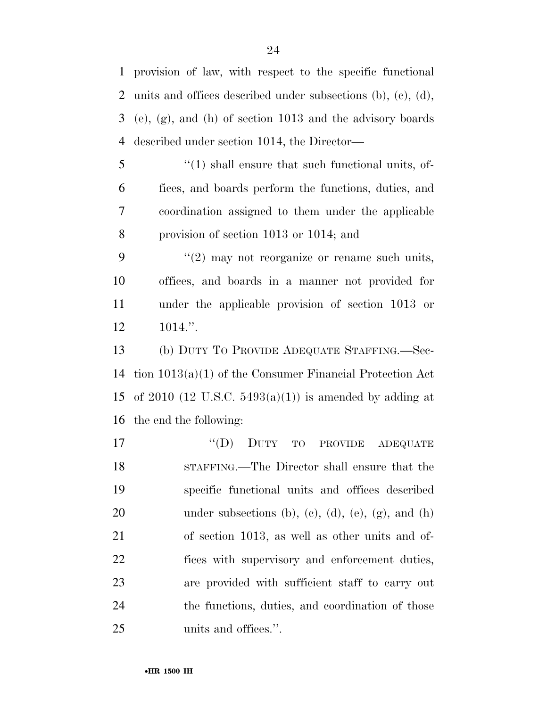provision of law, with respect to the specific functional units and offices described under subsections (b), (c), (d), (e), (g), and (h) of section 1013 and the advisory boards described under section 1014, the Director—

5 "(1) shall ensure that such functional units, of- fices, and boards perform the functions, duties, and coordination assigned to them under the applicable provision of section 1013 or 1014; and

 $(2)$  may not reorganize or rename such units, offices, and boards in a manner not provided for under the applicable provision of section 1013 or 1014.''.

 (b) DUTY TO PROVIDE ADEQUATE STAFFING.—Sec- tion 1013(a)(1) of the Consumer Financial Protection Act 15 of 2010 (12 U.S.C.  $5493(a)(1)$ ) is amended by adding at the end the following:

17 "(D) DUTY TO PROVIDE ADEQUATE STAFFING.—The Director shall ensure that the specific functional units and offices described 20 under subsections (b), (c), (d), (e), (g), and (h) of section 1013, as well as other units and of- fices with supervisory and enforcement duties, are provided with sufficient staff to carry out the functions, duties, and coordination of those units and offices.''.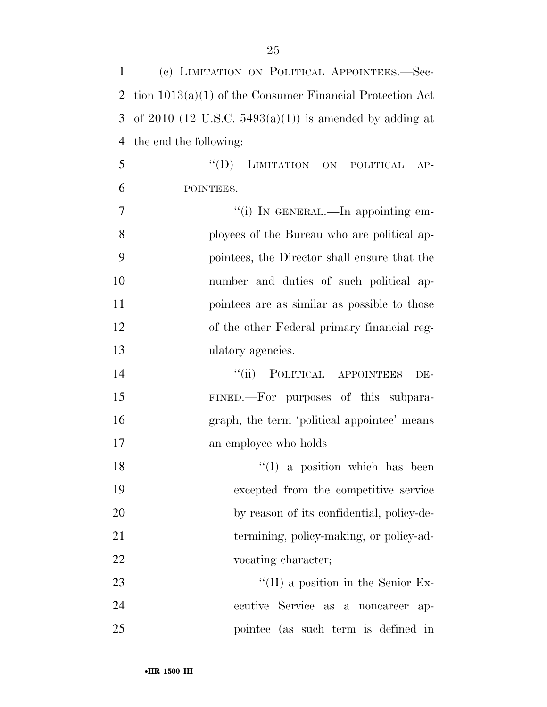| $\mathbf{1}$ | (c) LIMITATION ON POLITICAL APPOINTEES.-Sec-               |
|--------------|------------------------------------------------------------|
| 2            | tion $1013(a)(1)$ of the Consumer Financial Protection Act |
| 3            | of 2010 (12 U.S.C. 5493(a)(1)) is amended by adding at     |
| 4            | the end the following:                                     |
| 5            | LIMITATION ON POLITICAL<br>``(D)<br>$AP-$                  |
| 6            | POINTEES.-                                                 |
| 7            | "(i) IN GENERAL.—In appointing em-                         |
| 8            | ployees of the Bureau who are political ap-                |
| 9            | pointees, the Director shall ensure that the               |
| 10           | number and duties of such political ap-                    |
| 11           | pointees are as similar as possible to those               |
| 12           | of the other Federal primary financial reg-                |
| 13           | ulatory agencies.                                          |
| 14           | ``(ii)<br>POLITICAL APPOINTEES<br>DE-                      |
| 15           | FINED.—For purposes of this subpara-                       |
| 16           | graph, the term 'political appointee' means                |
| 17           | an employee who holds—                                     |
| 18           | $\lq(1)$ a position which has been                         |
| 19           | excepted from the competitive service                      |
| 20           | by reason of its confidential, policy-de-                  |
| 21           | termining, policy-making, or policy-ad-                    |
| 22           | vocating character;                                        |
| 23           | $\lq\lq$ (II) a position in the Senior Ex-                 |
| 24           | ecutive Service as a noncareer<br>$ap-$                    |
| 25           | pointee (as such term is defined in                        |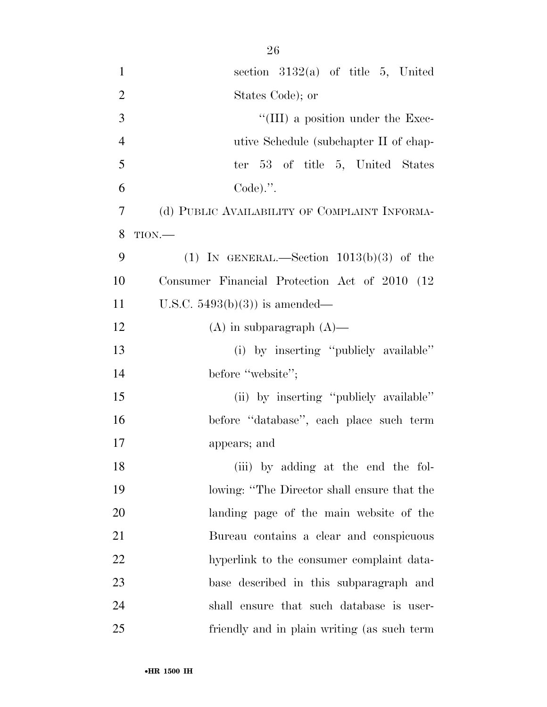| $\mathbf{1}$   | section $3132(a)$ of title 5, United           |
|----------------|------------------------------------------------|
| $\overline{2}$ | States Code); or                               |
| 3              | $\lq\lq$ (III) a position under the Exec-      |
| $\overline{4}$ | utive Schedule (subchapter II of chap-         |
| 5              | ter 53 of title 5, United States               |
| 6              | $Code).$ ".                                    |
| 7              | (d) PUBLIC AVAILABILITY OF COMPLAINT INFORMA-  |
| 8              | $TION$ .                                       |
| 9              | (1) IN GENERAL.—Section $1013(b)(3)$ of the    |
| 10             | Consumer Financial Protection Act of 2010 (12) |
| 11             | U.S.C. $5493(b)(3)$ is amended—                |
| 12             | $(A)$ in subparagraph $(A)$ —                  |
| 13             | (i) by inserting "publicly available"          |
| 14             | before "website";                              |
| 15             | (ii) by inserting "publicly available"         |
| 16             | before "database", each place such term        |
| 17             | appears; and                                   |
| 18             | (iii) by adding at the end the fol-            |
| 19             | lowing: "The Director shall ensure that the    |
| 20             | landing page of the main website of the        |
| 21             | Bureau contains a clear and conspicuous        |
| 22             | hyperlink to the consumer complaint data-      |
| 23             | base described in this subparagraph and        |
| 24             | shall ensure that such database is user-       |
| 25             | friendly and in plain writing (as such term    |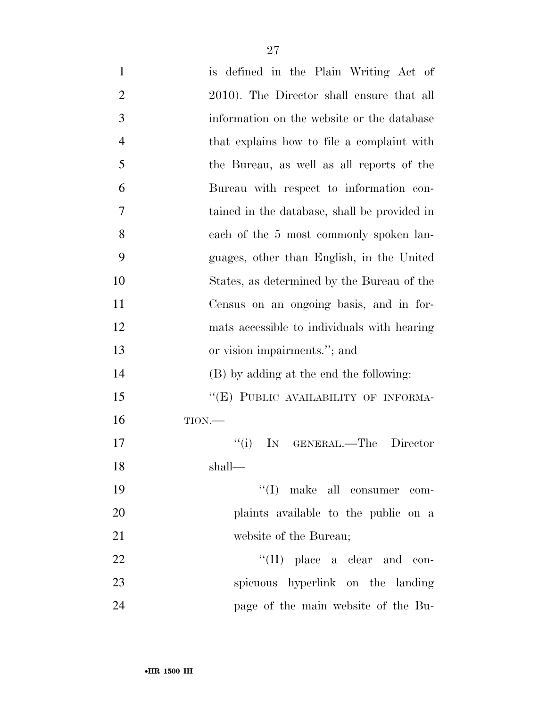| $\mathbf{1}$   | is defined in the Plain Writing Act of       |
|----------------|----------------------------------------------|
| $\overline{2}$ | 2010). The Director shall ensure that all    |
| 3              | information on the website or the database   |
| $\overline{4}$ | that explains how to file a complaint with   |
| 5              | the Bureau, as well as all reports of the    |
| 6              | Bureau with respect to information con-      |
| 7              | tained in the database, shall be provided in |
| 8              | each of the 5 most commonly spoken lan-      |
| 9              | guages, other than English, in the United    |
| 10             | States, as determined by the Bureau of the   |
| 11             | Census on an ongoing basis, and in for-      |
| 12             | mats accessible to individuals with hearing  |
| 13             | or vision impairments."; and                 |
| 14             | (B) by adding at the end the following:      |
| 15             | "(E) PUBLIC AVAILABILITY OF INFORMA-         |
| 16             | TION.                                        |
| 17             | ``(i)<br>IN GENERAL.—The Director            |
| 18             | shall—                                       |
| 19             | $\lq\lq$ (I) make all consumer com-          |
| 20             | plaints available to the public on a         |
| 21             | website of the Bureau;                       |
| 22             | $\lq\lq$ (II) place a clear and con-         |
| 23             | spicuous hyperlink on the landing            |
| 24             | page of the main website of the Bu-          |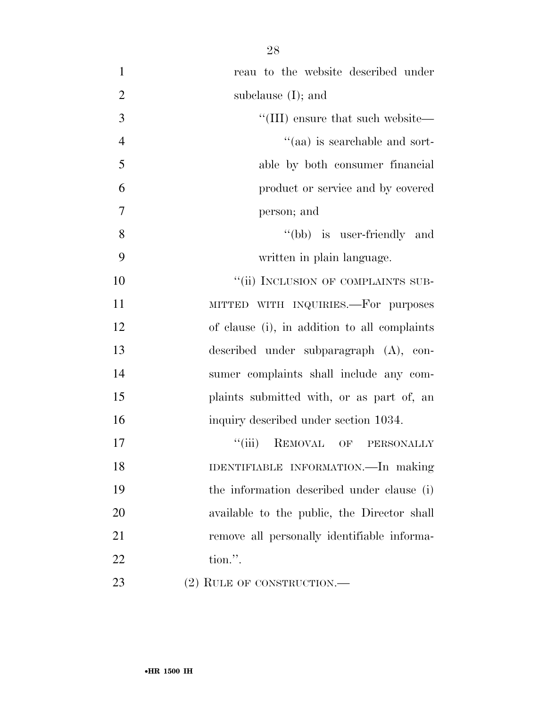| $\mathbf{1}$   | reau to the website described under          |
|----------------|----------------------------------------------|
| $\overline{2}$ | subclause $(I)$ ; and                        |
| 3              | "(III) ensure that such website—             |
| $\overline{4}$ | "(aa) is searchable and sort-                |
| 5              | able by both consumer financial              |
| 6              | product or service and by covered            |
| 7              | person; and                                  |
| 8              | "(bb) is user-friendly and                   |
| 9              | written in plain language.                   |
| 10             | "(ii) INCLUSION OF COMPLAINTS SUB-           |
| 11             | MITTED WITH INQUIRIES.—For purposes          |
| 12             | of clause (i), in addition to all complaints |
| 13             | described under subparagraph (A), con-       |
| 14             | sumer complaints shall include any com-      |
| 15             | plaints submitted with, or as part of, an    |
| 16             | inquiry described under section 1034.        |
| 17             | "(iii) REMOVAL OF PERSONALLY                 |
| 18             | IDENTIFIABLE INFORMATION.-In making          |
| 19             | the information described under clause (i)   |
| 20             | available to the public, the Director shall  |
| 21             | remove all personally identifiable informa-  |
| 22             | tion.".                                      |
| 23             | $(2)$ RULE OF CONSTRUCTION.—                 |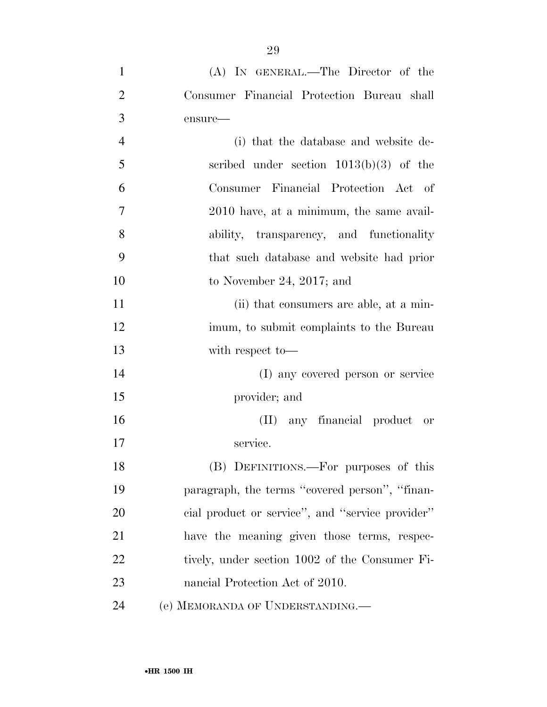| $\mathbf{1}$   | (A) IN GENERAL.—The Director of the              |
|----------------|--------------------------------------------------|
| $\overline{2}$ | Consumer Financial Protection Bureau shall       |
| 3              | ensure-                                          |
| $\overline{4}$ | (i) that the database and website de-            |
| 5              | scribed under section $1013(b)(3)$ of the        |
| 6              | Consumer Financial Protection Act of             |
| 7              | 2010 have, at a minimum, the same avail-         |
| 8              | ability, transparency, and functionality         |
| 9              | that such database and website had prior         |
| 10             | to November 24, 2017; and                        |
| 11             | (ii) that consumers are able, at a min-          |
| 12             | imum, to submit complaints to the Bureau         |
| 13             | with respect to-                                 |
| 14             | (I) any covered person or service                |
| 15             | provider; and                                    |
| 16             | (II) any financial product or                    |
| 17             | service.                                         |
| 18             | (B) DEFINITIONS.—For purposes of this            |
| 19             | paragraph, the terms "covered person", "finan-   |
| 20             | cial product or service", and "service provider" |
| 21             | have the meaning given those terms, respec-      |
| 22             | tively, under section 1002 of the Consumer Fi-   |
| 23             | nancial Protection Act of 2010.                  |
| 24             | (e) MEMORANDA OF UNDERSTANDING.                  |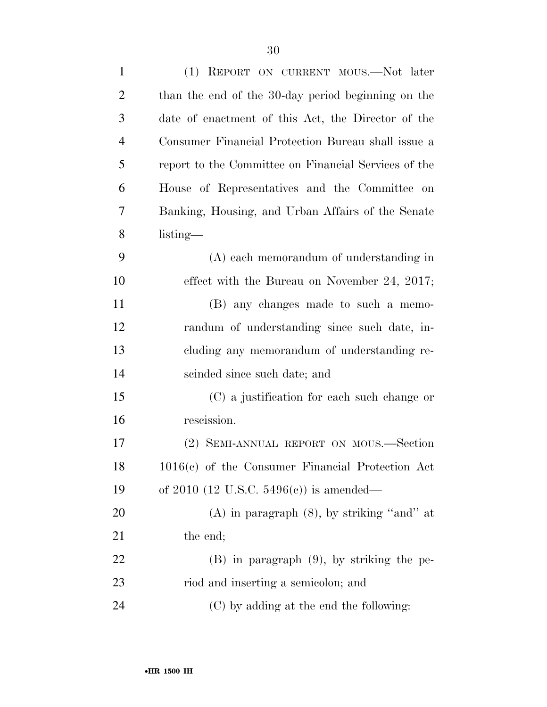| $\mathbf{1}$   | (1) REPORT ON CURRENT MOUS.—Not later                |
|----------------|------------------------------------------------------|
| $\overline{2}$ | than the end of the 30-day period beginning on the   |
| 3              | date of enactment of this Act, the Director of the   |
| $\overline{4}$ | Consumer Financial Protection Bureau shall issue a   |
| 5              | report to the Committee on Financial Services of the |
| 6              | House of Representatives and the Committee on        |
| 7              | Banking, Housing, and Urban Affairs of the Senate    |
| 8              | $listing$ —                                          |
| 9              | (A) each memorandum of understanding in              |
| 10             | effect with the Bureau on November 24, 2017;         |
| 11             | (B) any changes made to such a memo-                 |
| 12             | randum of understanding since such date, in-         |
| 13             | cluding any memorandum of understanding re-          |
| 14             | scinded since such date; and                         |
| 15             | (C) a justification for each such change or          |
| 16             | rescission.                                          |
| 17             | (2) SEMI-ANNUAL REPORT ON MOUS.—Section              |
| 18             | $1016(c)$ of the Consumer Financial Protection Act   |
| 19             | of 2010 (12 U.S.C. 5496(c)) is amended—              |
| 20             | $(A)$ in paragraph $(8)$ , by striking "and" at      |
| 21             | the end;                                             |
| 22             | $(B)$ in paragraph $(9)$ , by striking the pe-       |
| 23             | riod and inserting a semicolon; and                  |
| 24             | (C) by adding at the end the following:              |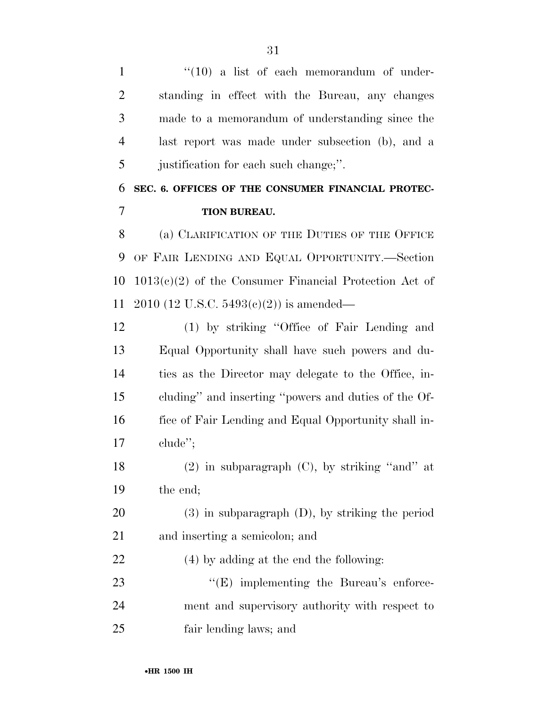1 ''(10) a list of each memorandum of under- standing in effect with the Bureau, any changes made to a memorandum of understanding since the last report was made under subsection (b), and a justification for each such change;''.

## **SEC. 6. OFFICES OF THE CONSUMER FINANCIAL PROTEC-TION BUREAU.**

 (a) CLARIFICATION OF THE DUTIES OF THE OFFICE OF FAIR LENDING AND EQUAL OPPORTUNITY.—Section 1013(c)(2) of the Consumer Financial Protection Act of 2010 (12 U.S.C. 5493(c)(2)) is amended—

 (1) by striking ''Office of Fair Lending and Equal Opportunity shall have such powers and du- ties as the Director may delegate to the Office, in- cluding'' and inserting ''powers and duties of the Of- fice of Fair Lending and Equal Opportunity shall in-clude'';

18 (2) in subparagraph  $(C)$ , by striking "and" at the end;

 (3) in subparagraph (D), by striking the period and inserting a semicolon; and

(4) by adding at the end the following:

23  $\text{``(E)}$  implementing the Bureau's enforce- ment and supervisory authority with respect to fair lending laws; and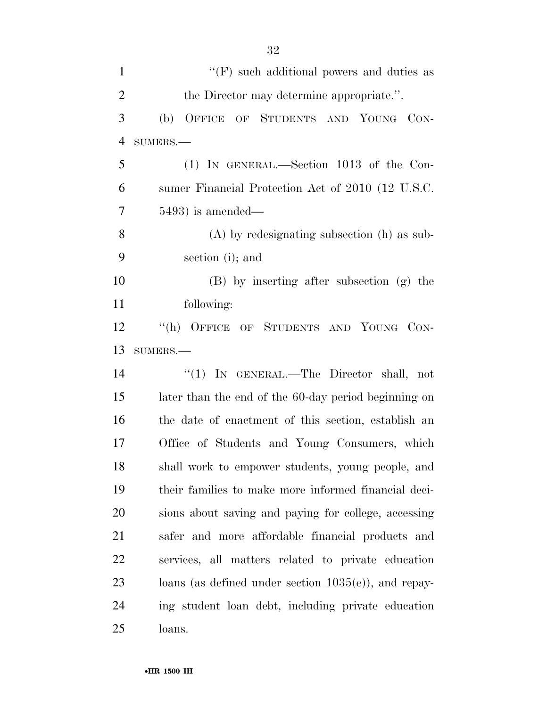| $\mathbf{1}$   | $\lq\lq(F)$ such additional powers and duties as        |
|----------------|---------------------------------------------------------|
| $\overline{2}$ | the Director may determine appropriate.".               |
| 3              | OF STUDENTS AND YOUNG<br>(b)<br>OFFICE<br>CON-          |
| $\overline{4}$ | $SUMERS$ .                                              |
| 5              | (1) IN GENERAL.—Section 1013 of the Con-                |
| 6              | sumer Financial Protection Act of 2010 (12 U.S.C.       |
| 7              | $5493$ ) is amended—                                    |
| 8              | $(A)$ by redesignating subsection $(h)$ as sub-         |
| 9              | section (i); and                                        |
| 10             | (B) by inserting after subsection (g) the               |
| 11             | following:                                              |
| 12             | "(h) OFFICE OF STUDENTS AND YOUNG CON-                  |
| 13             | SUMERS.-                                                |
| 14             | "(1) IN GENERAL.—The Director shall, not                |
| 15             | later than the end of the 60-day period beginning on    |
| 16             | the date of enactment of this section, establish an     |
| 17             | Office of Students and Young Consumers, which           |
| 18             | shall work to empower students, young people, and       |
| 19             | their families to make more informed financial deci-    |
| 20             | sions about saving and paying for college, accessing    |
| 21             | safer and more affordable financial products and        |
| 22             | services, all matters related to private education      |
| 23             | loans (as defined under section $1035(e)$ ), and repay- |
| 24             | ing student loan debt, including private education      |
| 25             | loans.                                                  |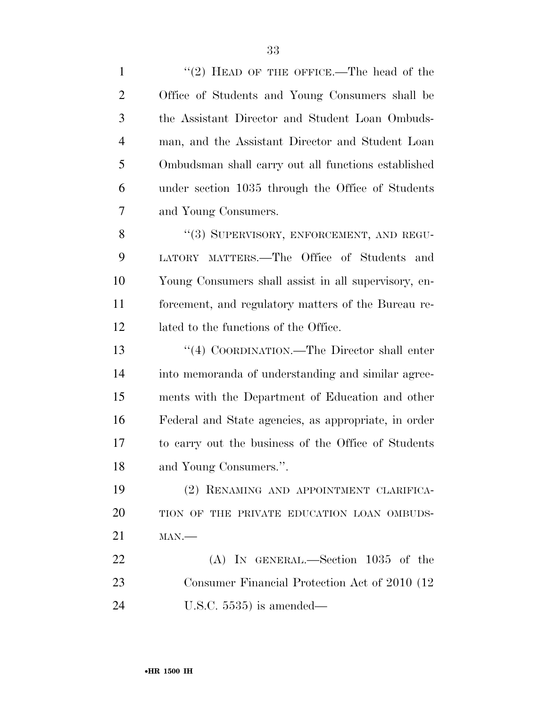| $\mathbf{1}$   | "(2) HEAD OF THE OFFICE.—The head of the             |
|----------------|------------------------------------------------------|
| $\overline{2}$ | Office of Students and Young Consumers shall be      |
| 3              | the Assistant Director and Student Loan Ombuds-      |
| $\overline{4}$ | man, and the Assistant Director and Student Loan     |
| 5              | Ombudsman shall carry out all functions established  |
| 6              | under section 1035 through the Office of Students    |
| 7              | and Young Consumers.                                 |
| 8              | "(3) SUPERVISORY, ENFORCEMENT, AND REGU-             |
| 9              | LATORY MATTERS.—The Office of Students and           |
| 10             | Young Consumers shall assist in all supervisory, en- |
| 11             | forcement, and regulatory matters of the Bureau re-  |
| 12             | lated to the functions of the Office.                |
| 13             | "(4) COORDINATION.—The Director shall enter          |
| 14             | into memoranda of understanding and similar agree-   |
| 15             | ments with the Department of Education and other     |
| 16             | Federal and State agencies, as appropriate, in order |
| 17             | to carry out the business of the Office of Students  |
| 18             | and Young Consumers.".                               |
| 19             | (2) RENAMING AND APPOINTMENT CLARIFICA-              |
| 20             | TION OF THE PRIVATE EDUCATION LOAN OMBUDS-           |
| 21             | $MAN$ .                                              |
| 22             | $(A)$ IN GENERAL.—Section 1035 of the                |
| 23             | Consumer Financial Protection Act of 2010 (12)       |
| 24             | U.S.C. $5535$ ) is amended—                          |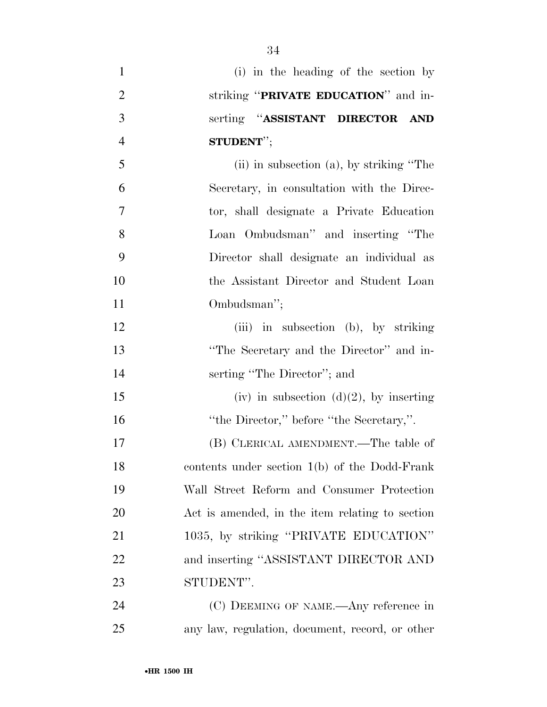- (i) in the heading of the section by striking ''**PRIVATE EDUCATION**'' and in- serting ''**ASSISTANT DIRECTOR AND STUDENT**''; (ii) in subsection (a), by striking ''The Secretary, in consultation with the Direc- tor, shall designate a Private Education Loan Ombudsman'' and inserting ''The Director shall designate an individual as the Assistant Director and Student Loan Ombudsman''; 12 (iii) in subsection (b), by striking ''The Secretary and the Director'' and in- serting ''The Director''; and 15 (iv) in subsection  $(d)(2)$ , by inserting 16 "the Director," before "the Secretary,". (B) CLERICAL AMENDMENT.—The table of contents under section 1(b) of the Dodd-Frank Wall Street Reform and Consumer Protection Act is amended, in the item relating to section 21 1035, by striking "PRIVATE EDUCATION" and inserting ''ASSISTANT DIRECTOR AND STUDENT''. (C) DEEMING OF NAME.—Any reference in
- any law, regulation, document, record, or other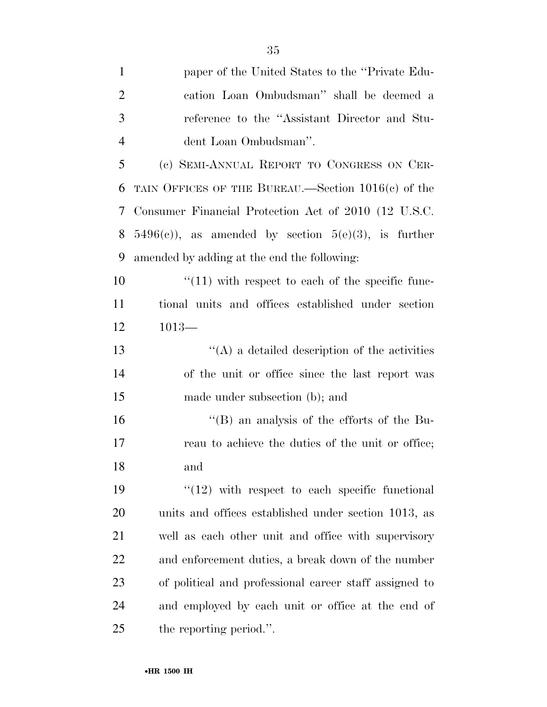| $\mathbf{1}$   | paper of the United States to the "Private Edu-          |
|----------------|----------------------------------------------------------|
| $\overline{2}$ | cation Loan Ombudsman" shall be deemed a                 |
| 3              | reference to the "Assistant Director and Stu-            |
| $\overline{4}$ | dent Loan Ombudsman".                                    |
| 5              | (c) SEMI-ANNUAL REPORT TO CONGRESS ON CER-               |
| 6              | TAIN OFFICES OF THE BUREAU.—Section $1016(c)$ of the     |
| 7              | Consumer Financial Protection Act of 2010 (12 U.S.C.     |
| 8              | $5496(c)$ , as amended by section $5(e)(3)$ , is further |
| 9              | amended by adding at the end the following:              |
| 10             | $\lq(11)$ with respect to each of the specific func-     |
| 11             | tional units and offices established under section       |
| 12             | $1013-$                                                  |
| 13             | $\lq\lq$ a detailed description of the activities        |
| 14             | of the unit or office since the last report was          |
| 15             | made under subsection (b); and                           |
| 16             | $\mathrm{``(B)}$ an analysis of the efforts of the Bu-   |
| 17             | reau to achieve the duties of the unit or office;        |
| 18             | and                                                      |
| 19             | $"(12)$ with respect to each specific functional         |
| 20             | units and offices established under section 1013, as     |
| 21             | well as each other unit and office with supervisory      |
| 22             | and enforcement duties, a break down of the number       |
| 23             | of political and professional career staff assigned to   |
| 24             | and employed by each unit or office at the end of        |
| 25             | the reporting period.".                                  |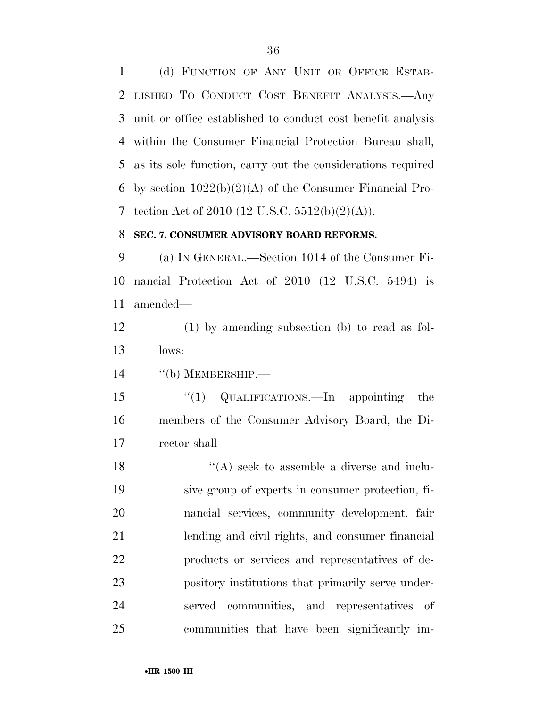(d) FUNCTION OF ANY UNIT OR OFFICE ESTAB- LISHED TO CONDUCT COST BENEFIT ANALYSIS.—Any unit or office established to conduct cost benefit analysis within the Consumer Financial Protection Bureau shall, as its sole function, carry out the considerations required by section 1022(b)(2)(A) of the Consumer Financial Pro-7 tection Act of 2010 (12 U.S.C.  $5512(b)(2)(A)$ ).

#### **SEC. 7. CONSUMER ADVISORY BOARD REFORMS.**

 (a) IN GENERAL.—Section 1014 of the Consumer Fi- nancial Protection Act of 2010 (12 U.S.C. 5494) is amended—

 (1) by amending subsection (b) to read as fol-lows:

''(b) MEMBERSHIP.—

15 "(1) QUALIFICATIONS.—In appointing the members of the Consumer Advisory Board, the Di-rector shall—

18 ''(A) seek to assemble a diverse and inclu- sive group of experts in consumer protection, fi- nancial services, community development, fair lending and civil rights, and consumer financial products or services and representatives of de- pository institutions that primarily serve under- served communities, and representatives of communities that have been significantly im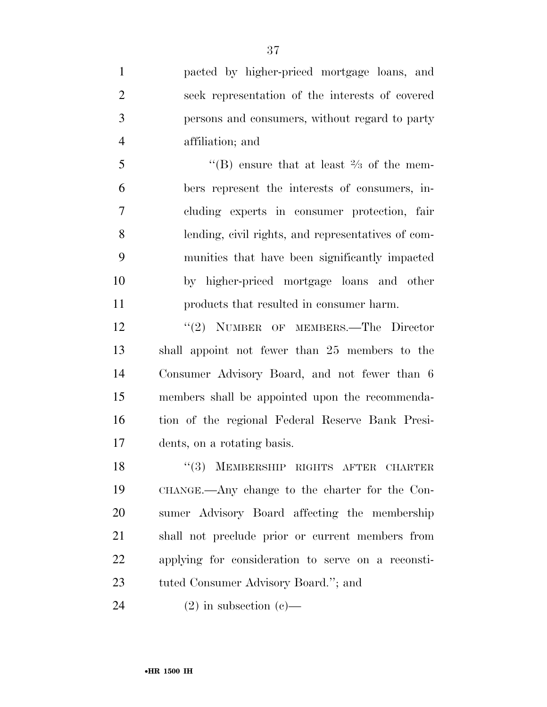pacted by higher-priced mortgage loans, and seek representation of the interests of covered persons and consumers, without regard to party affiliation; and

 $\mathcal{F}$  (B) ensure that at least  $\mathcal{F}_3$  of the mem- bers represent the interests of consumers, in- cluding experts in consumer protection, fair lending, civil rights, and representatives of com- munities that have been significantly impacted by higher-priced mortgage loans and other products that resulted in consumer harm.

12 ''(2) NUMBER OF MEMBERS.—The Director shall appoint not fewer than 25 members to the Consumer Advisory Board, and not fewer than 6 members shall be appointed upon the recommenda- tion of the regional Federal Reserve Bank Presi-dents, on a rotating basis.

18 "(3) MEMBERSHIP RIGHTS AFTER CHARTER CHANGE.—Any change to the charter for the Con- sumer Advisory Board affecting the membership shall not preclude prior or current members from applying for consideration to serve on a reconsti-tuted Consumer Advisory Board.''; and

24 (2) in subsection (c)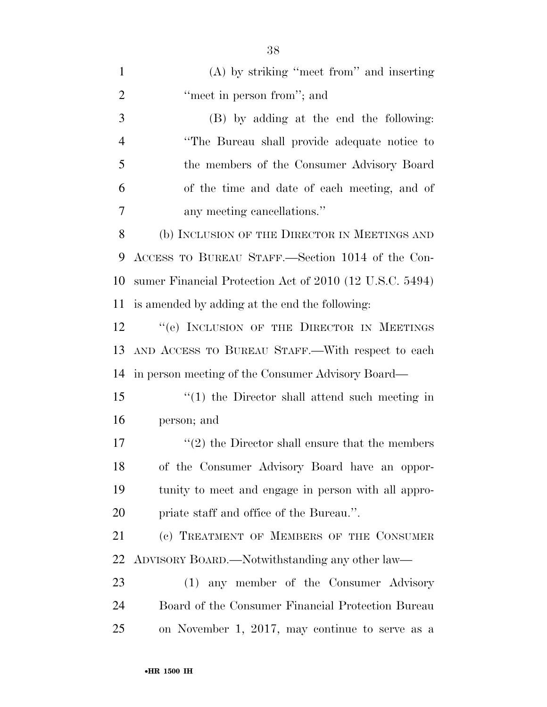| $\mathbf{1}$   | (A) by striking "meet from" and inserting                       |
|----------------|-----------------------------------------------------------------|
| $\overline{2}$ | "meet in person from"; and                                      |
| 3              | (B) by adding at the end the following:                         |
| $\overline{4}$ | "The Bureau shall provide adequate notice to                    |
| 5              | the members of the Consumer Advisory Board                      |
| 6              | of the time and date of each meeting, and of                    |
| 7              | any meeting cancellations."                                     |
| 8              | (b) INCLUSION OF THE DIRECTOR IN MEETINGS AND                   |
| 9              | ACCESS TO BUREAU STAFF.—Section 1014 of the Con-                |
| 10             | sumer Financial Protection Act of 2010 (12 U.S.C. 5494)         |
| 11             | is amended by adding at the end the following:                  |
| 12             | "(e) INCLUSION OF THE DIRECTOR IN MEETINGS                      |
| 13             | AND ACCESS TO BUREAU STAFF.—With respect to each                |
| 14             | in person meeting of the Consumer Advisory Board—               |
| 15             | $\lq(1)$ the Director shall attend such meeting in              |
| 16             | person; and                                                     |
| 17             | $\cdot\cdot\cdot(2)$ the Director shall ensure that the members |
| 18             | of the Consumer Advisory Board have an oppor-                   |
| 19             | tunity to meet and engage in person with all appro-             |
| 20             | priate staff and office of the Bureau.".                        |
| 21             | (c) TREATMENT OF MEMBERS OF THE CONSUMER                        |
| 22             | ADVISORY BOARD.—Notwithstanding any other law—                  |
| 23             | (1) any member of the Consumer Advisory                         |
| 24             | Board of the Consumer Financial Protection Bureau               |
| 25             | on November 1, 2017, may continue to serve as a                 |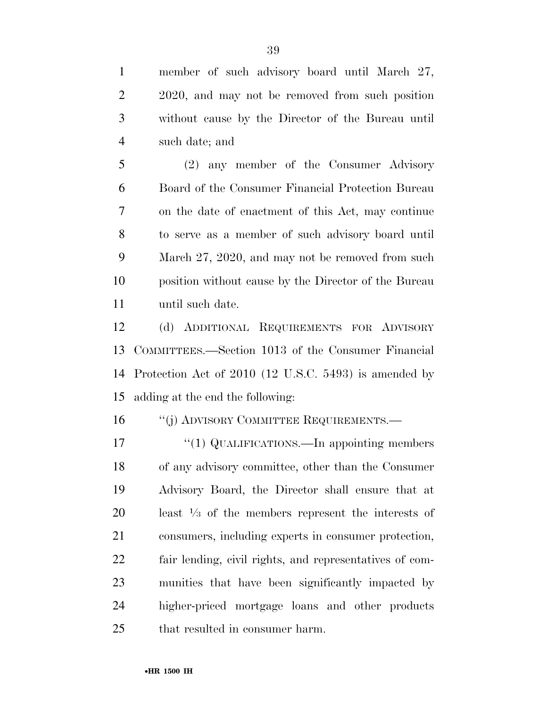member of such advisory board until March 27, 2 2020, and may not be removed from such position without cause by the Director of the Bureau until such date; and

 (2) any member of the Consumer Advisory Board of the Consumer Financial Protection Bureau on the date of enactment of this Act, may continue to serve as a member of such advisory board until March 27, 2020, and may not be removed from such position without cause by the Director of the Bureau until such date.

 (d) ADDITIONAL REQUIREMENTS FOR ADVISORY COMMITTEES.—Section 1013 of the Consumer Financial Protection Act of 2010 (12 U.S.C. 5493) is amended by adding at the end the following:

16 "(j) ADVISORY COMMITTEE REQUIREMENTS.—

17 "(1) QUALIFICATIONS.—In appointing members of any advisory committee, other than the Consumer Advisory Board, the Director shall ensure that at least  $\frac{1}{3}$  of the members represent the interests of consumers, including experts in consumer protection, fair lending, civil rights, and representatives of com- munities that have been significantly impacted by higher-priced mortgage loans and other products that resulted in consumer harm.